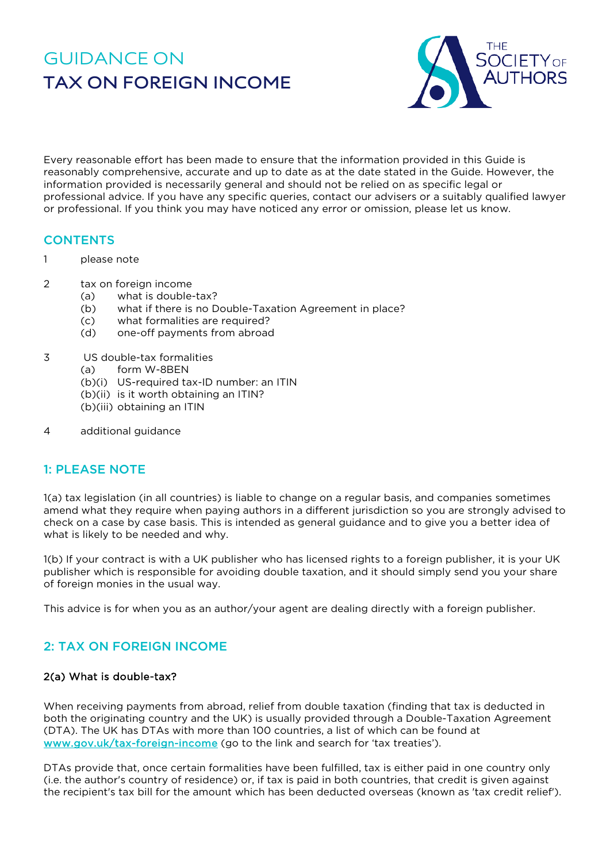# GUIDANCE ON **TAX ON FOREIGN INCOME**



Every reasonable effort has been made to ensure that the information provided in this Guide is reasonably comprehensive, accurate and up to date as at the date stated in the Guide. However, the information provided is necessarily general and should not be relied on as specific legal or professional advice. If you have any specific queries, contact our advisers or a suitably qualified lawyer or professional. If you think you may have noticed any error or omission, please let us know.

## **CONTENTS**

- 1 please note
- 2 tax on foreign income
	- (a) what is double-tax?
	- (b) what if there is no Double-Taxation Agreement in place?
	- (c) what formalities are required?
	- (d) one-off payments from abroad
- 3 US double-tax formalities
	- (a) form W-8BEN
	- (b)(i) US-required tax-ID number: an ITIN
	- (b)(ii) is it worth obtaining an ITIN?
	- (b)(iii) obtaining an ITIN
- 4 additional guidance

## 1: PLEASE NOTE

1(a) tax legislation (in all countries) is liable to change on a regular basis, and companies sometimes amend what they require when paying authors in a different jurisdiction so you are strongly advised to check on a case by case basis. This is intended as general guidance and to give you a better idea of what is likely to be needed and why.

1(b) If your contract is with a UK publisher who has licensed rights to a foreign publisher, it is your UK publisher which is responsible for avoiding double taxation, and it should simply send you your share of foreign monies in the usual way.

This advice is for when you as an author/your agent are dealing directly with a foreign publisher.

## 2: TAX ON FOREIGN INCOME

#### 2(a) What is double-tax?

When receiving payments from abroad, relief from double taxation (finding that tax is deducted in both the originating country and the UK) is usually provided through a Double-Taxation Agreement (DTA). The UK has DTAs with more than 100 countries, a list of which can be found at [www.gov.uk/tax-foreign-income](http://www.gov.uk/tax-foreign-income) (go to the link and search for 'tax treaties').

DTAs provide that, once certain formalities have been fulfilled, tax is either paid in one country only (i.e. the author's country of residence) or, if tax is paid in both countries, that credit is given against the recipient's tax bill for the amount which has been deducted overseas (known as 'tax credit relief').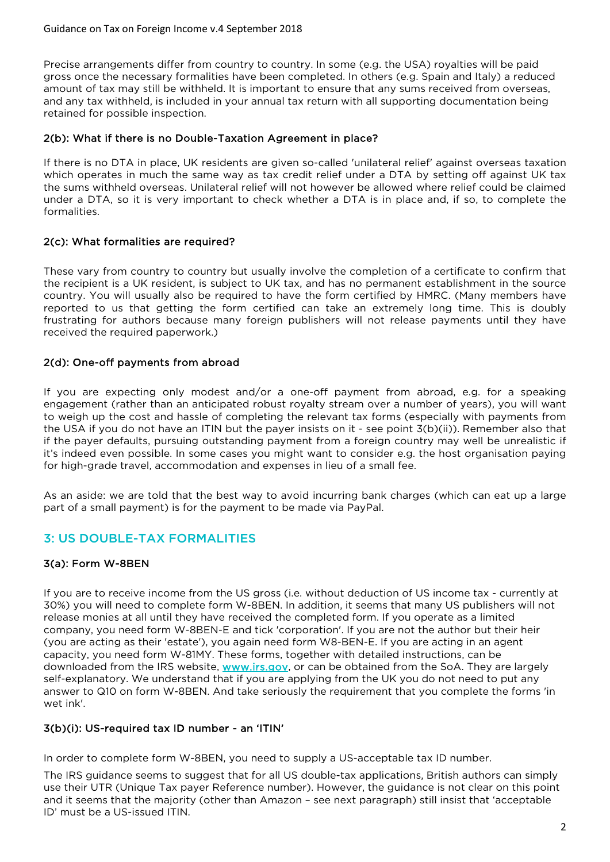Precise arrangements differ from country to country. In some (e.g. the USA) royalties will be paid gross once the necessary formalities have been completed. In others (e.g. Spain and Italy) a reduced amount of tax may still be withheld. It is important to ensure that any sums received from overseas, and any tax withheld, is included in your annual tax return with all supporting documentation being retained for possible inspection.

### 2(b): What if there is no Double-Taxation Agreement in place?

If there is no DTA in place, UK residents are given so-called 'unilateral relief' against overseas taxation which operates in much the same way as tax credit relief under a DTA by setting off against UK tax the sums withheld overseas. Unilateral relief will not however be allowed where relief could be claimed under a DTA, so it is very important to check whether a DTA is in place and, if so, to complete the formalities.

## 2(c): What formalities are required?

These vary from country to country but usually involve the completion of a certificate to confirm that the recipient is a UK resident, is subject to UK tax, and has no permanent establishment in the source country. You will usually also be required to have the form certified by HMRC. (Many members have reported to us that getting the form certified can take an extremely long time. This is doubly frustrating for authors because many foreign publishers will not release payments until they have received the required paperwork.)

### 2(d): One-off payments from abroad

If you are expecting only modest and/or a one-off payment from abroad, e.g. for a speaking engagement (rather than an anticipated robust royalty stream over a number of years), you will want to weigh up the cost and hassle of completing the relevant tax forms (especially with payments from the USA if you do not have an ITIN but the payer insists on it - see point 3(b)(ii)). Remember also that if the payer defaults, pursuing outstanding payment from a foreign country may well be unrealistic if it's indeed even possible. In some cases you might want to consider e.g. the host organisation paying for high-grade travel, accommodation and expenses in lieu of a small fee.

As an aside: we are told that the best way to avoid incurring bank charges (which can eat up a large part of a small payment) is for the payment to be made via PayPal.

## 3: US DOUBLE-TAX FORMALITIES

## 3(a): Form W-8BEN

If you are to receive income from the US gross (i.e. without deduction of US income tax - currently at 30%) you will need to complete form W-8BEN. In addition, it seems that many US publishers will not release monies at all until they have received the completed form. If you operate as a limited company, you need form W-8BEN-E and tick 'corporation'. If you are not the author but their heir (you are acting as their 'estate'), you again need form W8-BEN-E. If you are acting in an agent capacity, you need form W-81MY. These forms, together with detailed instructions, can be downloaded from the IRS website, [www.irs.gov,](http://www.irs.gov/) or can be obtained from the SoA. They are largely self-explanatory. We understand that if you are applying from the UK you do not need to put any answer to Q10 on form W-8BEN. And take seriously the requirement that you complete the forms 'in wet ink'.

#### 3(b)(i): US-required tax ID number - an 'ITIN'

In order to complete form W-8BEN, you need to supply a US-acceptable tax ID number.

The IRS guidance seems to suggest that for all US double-tax applications, British authors can simply use their UTR (Unique Tax payer Reference number). However, the guidance is not clear on this point and it seems that the majority (other than Amazon – see next paragraph) still insist that 'acceptable ID' must be a US-issued ITIN.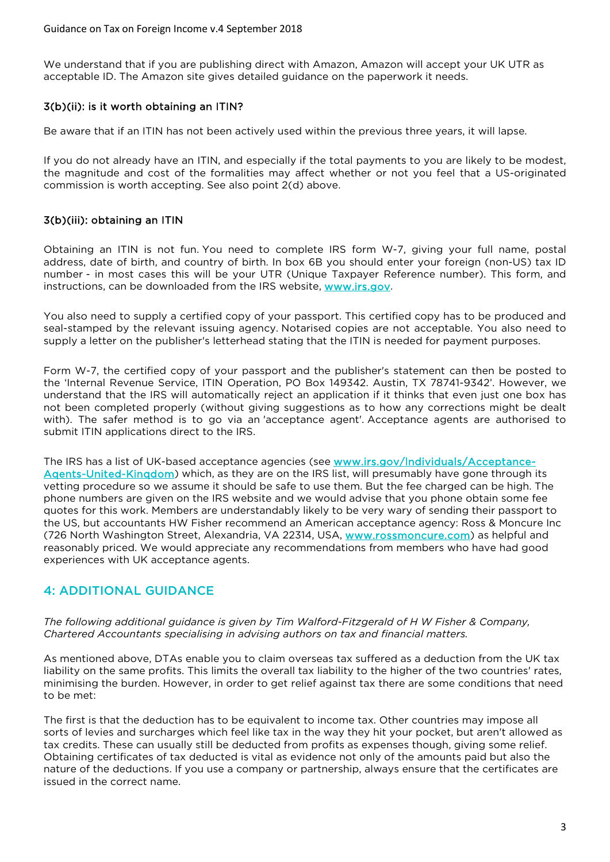We understand that if you are publishing direct with Amazon, Amazon will accept your UK UTR as acceptable ID. The Amazon site gives detailed guidance on the paperwork it needs.

## 3(b)(ii): is it worth obtaining an ITIN?

Be aware that if an ITIN has not been actively used within the previous three years, it will lapse.

If you do not already have an ITIN, and especially if the total payments to you are likely to be modest, the magnitude and cost of the formalities may affect whether or not you feel that a US-originated commission is worth accepting. See also point 2(d) above.

### 3(b)(iii): obtaining an ITIN

Obtaining an ITIN is not fun. You need to complete IRS form W-7, giving your full name, postal address, date of birth, and country of birth. In box 6B you should enter your foreign (non-US) tax ID number - in most cases this will be your UTR (Unique Taxpayer Reference number). This form, and instructions, can be downloaded from the IRS website, [www.irs.gov.](http://www.irs.gov/)

You also need to supply a certified copy of your passport. This certified copy has to be produced and seal-stamped by the relevant issuing agency. Notarised copies are not acceptable. You also need to supply a letter on the publisher's letterhead stating that the ITIN is needed for payment purposes.

Form W-7, the certified copy of your passport and the publisher's statement can then be posted to the 'Internal Revenue Service, ITIN Operation, PO Box 149342. Austin, TX 78741-9342'. However, we understand that the IRS will automatically reject an application if it thinks that even just one box has not been completed properly (without giving suggestions as to how any corrections might be dealt with). The safer method is to go via an 'acceptance agent'. Acceptance agents are authorised to submit ITIN applications direct to the IRS.

The IRS has a list of UK-based acceptance agencies (see [www.irs.gov/lndividuals/Acceptance-](http://www.irs.gov/lndividuals/Acceptance-Aqents-United-Kinqdom)[Aqents-United-Kinqdom\)](http://www.irs.gov/lndividuals/Acceptance-Aqents-United-Kinqdom) which, as they are on the IRS list, will presumably have gone through its vetting procedure so we assume it should be safe to use them. But the fee charged can be high. The phone numbers are given on the IRS website and we would advise that you phone obtain some fee quotes for this work. Members are understandably likely to be very wary of sending their passport to the US, but accountants HW Fisher recommend an American acceptance agency: Ross & Moncure Inc (726 North Washington Street, Alexandria, VA 22314, USA, [www.rossmoncure.com\)](http://www.rossmoncure.com/) as helpful and reasonably priced. We would appreciate any recommendations from members who have had good experiences with UK acceptance agents.

## 4: ADDITIONAL GUIDANCE

*The following additional guidance is given by Tim Walford-Fitzgerald of H W Fisher & Company, Chartered Accountants specialising in advising authors on tax and financial matters.*

As mentioned above, DTAs enable you to claim overseas tax suffered as a deduction from the UK tax liability on the same profits. This limits the overall tax liability to the higher of the two countries' rates, minimising the burden. However, in order to get relief against tax there are some conditions that need to be met:

The first is that the deduction has to be equivalent to income tax. Other countries may impose all sorts of levies and surcharges which feel like tax in the way they hit your pocket, but aren't allowed as tax credits. These can usually still be deducted from profits as expenses though, giving some relief. Obtaining certificates of tax deducted is vital as evidence not only of the amounts paid but also the nature of the deductions. If you use a company or partnership, always ensure that the certificates are issued in the correct name.